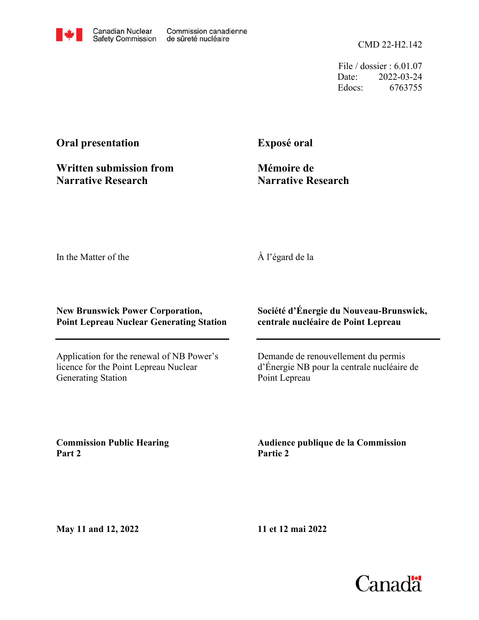CMD 22-H2.142

File / dossier : 6.01.07 Date: 2022-03-24 Edocs: 6763755

# **Oral presentation**

**Written submission from Narrative Research**

**Exposé oral**

**Mémoire de Narrative Research**

In the Matter of the

## À l'égard de la

#### **New Brunswick Power Corporation, Point Lepreau Nuclear Generating Station**

Application for the renewal of NB Power's licence for the Point Lepreau Nuclear Generating Station

### **Société d'Énergie du Nouveau-Brunswick, centrale nucléaire de Point Lepreau**

Demande de renouvellement du permis d'Énergie NB pour la centrale nucléaire de Point Lepreau

**Commission Public Hearing Part 2**

**Audience publique de la Commission Partie 2**

**May 11 and 12, 2022**

**11 et 12 mai 2022**

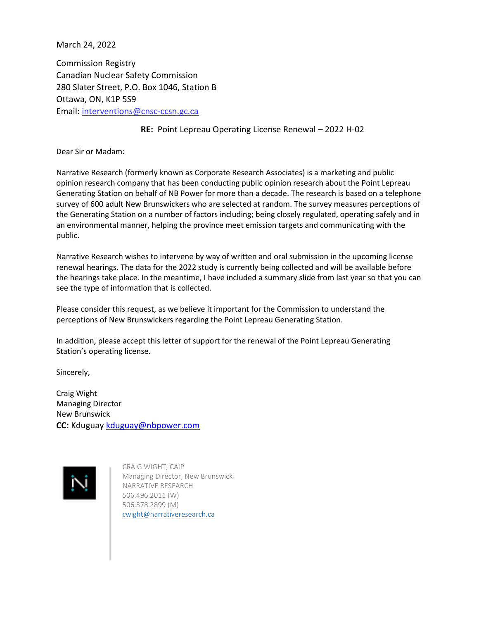March 24, 2022

Commission Registry Canadian Nuclear Safety Commission 280 Slater Street, P.O. Box 1046, Station B Ottawa, ON, K1P 5S9 Email: [interventions@cnsc-ccsn.gc.ca](mailto:interventions@cnsc-ccsn.gc.ca)

#### **RE:** Point Lepreau Operating License Renewal – 2022 H-02

Dear Sir or Madam:

Narrative Research (formerly known as Corporate Research Associates) is a marketing and public opinion research company that has been conducting public opinion research about the Point Lepreau Generating Station on behalf of NB Power for more than a decade. The research is based on a telephone survey of 600 adult New Brunswickers who are selected at random. The survey measures perceptions of the Generating Station on a number of factors including; being closely regulated, operating safely and in an environmental manner, helping the province meet emission targets and communicating with the public.

Narrative Research wishes to intervene by way of written and oral submission in the upcoming license renewal hearings. The data for the 2022 study is currently being collected and will be available before the hearings take place. In the meantime, I have included a summary slide from last year so that you can see the type of information that is collected.

Please consider this request, as we believe it important for the Commission to understand the perceptions of New Brunswickers regarding the Point Lepreau Generating Station.

In addition, please accept this letter of support for the renewal of the Point Lepreau Generating Station's operating license.

Sincerely,

Craig Wight Managing Director New Brunswick **CC:** Kduguay [kduguay@nbpower.com](mailto:kduguay@nbpower.com)



CRAIG WIGHT, CAIP Managing Director, New Brunswick NARRATIVE RESEARCH 506.496.2011 (W) 506.378.2899 (M) [cwight@narrativeresearch.ca](mailto:cwight@narrativeresearch.ca)